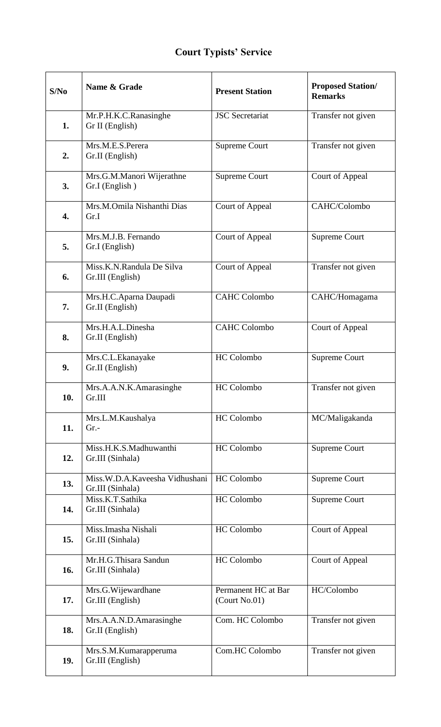## **Court Typists' Service**

| S/No | Name & Grade                                       | <b>Present Station</b>               | <b>Proposed Station/</b><br><b>Remarks</b> |
|------|----------------------------------------------------|--------------------------------------|--------------------------------------------|
| 1.   | Mr.P.H.K.C.Ranasinghe<br>Gr II (English)           | <b>JSC</b> Secretariat               | Transfer not given                         |
| 2.   | Mrs.M.E.S.Perera<br>Gr.II (English)                | <b>Supreme Court</b>                 | Transfer not given                         |
| 3.   | Mrs.G.M.Manori Wijerathne<br>Gr.I (English)        | <b>Supreme Court</b>                 | Court of Appeal                            |
| 4.   | Mrs.M.Omila Nishanthi Dias<br>Gr.I                 | Court of Appeal                      | CAHC/Colombo                               |
| 5.   | Mrs.M.J.B. Fernando<br>Gr.I (English)              | Court of Appeal                      | <b>Supreme Court</b>                       |
| 6.   | Miss.K.N.Randula De Silva<br>Gr.III (English)      | Court of Appeal                      | Transfer not given                         |
| 7.   | Mrs.H.C.Aparna Daupadi<br>Gr.II (English)          | <b>CAHC Colombo</b>                  | CAHC/Homagama                              |
| 8.   | Mrs.H.A.L.Dinesha<br>Gr.II (English)               | <b>CAHC Colombo</b>                  | Court of Appeal                            |
| 9.   | Mrs.C.L.Ekanayake<br>Gr.II (English)               | <b>HC</b> Colombo                    | Supreme Court                              |
| 10.  | Mrs.A.A.N.K.Amarasinghe<br>Gr.III                  | <b>HC</b> Colombo                    | Transfer not given                         |
| 11.  | Mrs.L.M.Kaushalya<br>$Gr. -$                       | HC Colombo                           | MC/Maligakanda                             |
| 12.  | Miss.H.K.S.Madhuwanthi<br>Gr.III (Sinhala)         | <b>HC</b> Colombo                    | <b>Supreme Court</b>                       |
| 13.  | Miss.W.D.A.Kaveesha Vidhushani<br>Gr.III (Sinhala) | <b>HC</b> Colombo                    | Supreme Court                              |
| 14.  | Miss.K.T.Sathika<br>Gr.III (Sinhala)               | HC Colombo                           | Supreme Court                              |
| 15.  | Miss.Imasha Nishali<br>Gr.III (Sinhala)            | <b>HC</b> Colombo                    | Court of Appeal                            |
| 16.  | Mr.H.G.Thisara Sandun<br>Gr.III (Sinhala)          | <b>HC</b> Colombo                    | Court of Appeal                            |
| 17.  | Mrs.G.Wijewardhane<br>Gr.III (English)             | Permanent HC at Bar<br>(Court No.01) | HC/Colombo                                 |
| 18.  | Mrs.A.A.N.D.Amarasinghe<br>Gr.II (English)         | Com. HC Colombo                      | Transfer not given                         |
| 19.  | Mrs.S.M.Kumarapperuma<br>Gr.III (English)          | Com.HC Colombo                       | Transfer not given                         |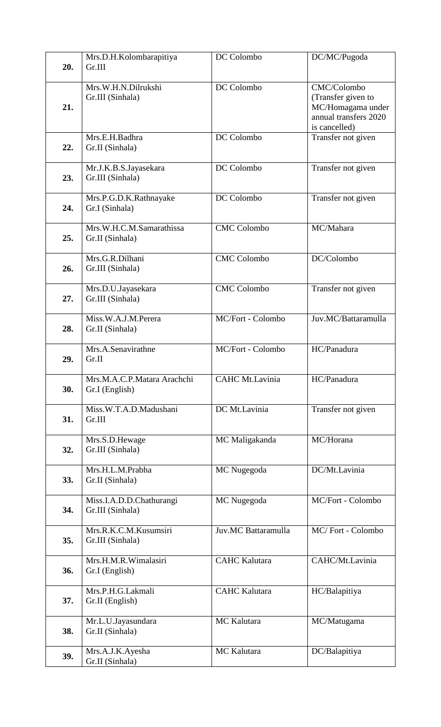| 20. | Mrs.D.H.Kolombarapitiya<br>Gr.III             | DC Colombo             | DC/MC/Pugoda                                                                                     |
|-----|-----------------------------------------------|------------------------|--------------------------------------------------------------------------------------------------|
| 21. | Mrs.W.H.N.Dilrukshi<br>Gr.III (Sinhala)       | DC Colombo             | CMC/Colombo<br>(Transfer given to<br>MC/Homagama under<br>annual transfers 2020<br>is cancelled) |
| 22. | Mrs.E.H.Badhra<br>Gr.II (Sinhala)             | DC Colombo             | Transfer not given                                                                               |
| 23. | Mr.J.K.B.S.Jayasekara<br>Gr.III (Sinhala)     | DC Colombo             | Transfer not given                                                                               |
| 24. | Mrs.P.G.D.K.Rathnayake<br>Gr.I (Sinhala)      | DC Colombo             | Transfer not given                                                                               |
| 25. | Mrs.W.H.C.M.Samarathissa<br>Gr.II (Sinhala)   | <b>CMC</b> Colombo     | MC/Mahara                                                                                        |
| 26. | Mrs.G.R.Dilhani<br>Gr.III (Sinhala)           | <b>CMC</b> Colombo     | DC/Colombo                                                                                       |
| 27. | Mrs.D.U.Jayasekara<br>Gr.III (Sinhala)        | <b>CMC</b> Colombo     | Transfer not given                                                                               |
| 28. | Miss.W.A.J.M.Perera<br>Gr.II (Sinhala)        | MC/Fort - Colombo      | Juv.MC/Battaramulla                                                                              |
| 29. | Mrs.A.Senavirathne<br>Gr.II                   | MC/Fort - Colombo      | HC/Panadura                                                                                      |
| 30. | Mrs.M.A.C.P.Matara Arachchi<br>Gr.I (English) | <b>CAHC Mt.Lavinia</b> | HC/Panadura                                                                                      |
| 31. | Miss.W.T.A.D.Madushani<br>Gr.III              | DC Mt.Lavinia          | Transfer not given                                                                               |
| 32. | Mrs.S.D.Hewage<br>Gr.III (Sinhala)            | MC Maligakanda         | MC/Horana                                                                                        |
| 33. | Mrs.H.L.M.Prabha<br>Gr.II (Sinhala)           | MC Nugegoda            | DC/Mt.Lavinia                                                                                    |
| 34. | Miss.I.A.D.D.Chathurangi<br>Gr.III (Sinhala)  | MC Nugegoda            | MC/Fort - Colombo                                                                                |
| 35. | Mrs.R.K.C.M.Kusumsiri<br>Gr.III (Sinhala)     | Juv.MC Battaramulla    | MC/Fort - Colombo                                                                                |
| 36. | Mrs.H.M.R.Wimalasiri<br>Gr.I (English)        | <b>CAHC Kalutara</b>   | CAHC/Mt.Lavinia                                                                                  |
| 37. | Mrs.P.H.G.Lakmali<br>Gr.II (English)          | <b>CAHC</b> Kalutara   | HC/Balapitiya                                                                                    |
| 38. | Mr.L.U.Jayasundara<br>Gr.II (Sinhala)         | <b>MC</b> Kalutara     | MC/Matugama                                                                                      |
| 39. | Mrs.A.J.K.Ayesha<br>Gr.II (Sinhala)           | <b>MC</b> Kalutara     | DC/Balapitiya                                                                                    |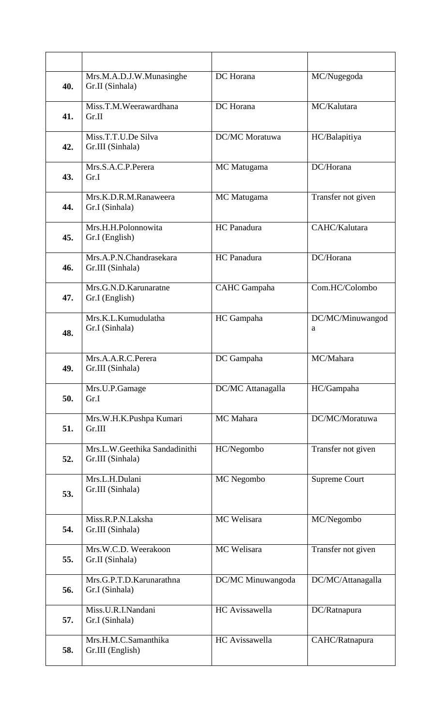| 40. | Mrs.M.A.D.J.W.Munasinghe<br>Gr.II (Sinhala)       | DC Horana             | MC/Nugegoda           |
|-----|---------------------------------------------------|-----------------------|-----------------------|
| 41. | Miss.T.M.Weerawardhana<br>Gr.II                   | DC Horana             | MC/Kalutara           |
| 42. | Miss.T.T.U.De Silva<br>Gr.III (Sinhala)           | <b>DC/MC</b> Moratuwa | HC/Balapitiya         |
| 43. | Mrs.S.A.C.P.Perera<br>Gr.I                        | MC Matugama           | DC/Horana             |
| 44. | Mrs.K.D.R.M.Ranaweera<br>Gr.I (Sinhala)           | MC Matugama           | Transfer not given    |
| 45. | Mrs.H.H.Polonnowita<br>Gr.I (English)             | HC Panadura           | CAHC/Kalutara         |
| 46. | Mrs.A.P.N.Chandrasekara<br>Gr.III (Sinhala)       | HC Panadura           | DC/Horana             |
| 47. | Mrs.G.N.D.Karunaratne<br>Gr.I (English)           | <b>CAHC</b> Gampaha   | Com.HC/Colombo        |
| 48. | Mrs.K.L.Kumudulatha<br>Gr.I (Sinhala)             | HC Gampaha            | DC/MC/Minuwangod<br>a |
| 49. | Mrs.A.A.R.C.Perera<br>Gr.III (Sinhala)            | DC Gampaha            | MC/Mahara             |
| 50. | Mrs.U.P.Gamage<br>Gr.I                            | DC/MC Attanagalla     | HC/Gampaha            |
| 51. | Mrs.W.H.K.Pushpa Kumari<br>Gr.III                 | MC Mahara             | DC/MC/Moratuwa        |
| 52. | Mrs.L.W.Geethika Sandadinithi<br>Gr.III (Sinhala) | HC/Negombo            | Transfer not given    |
| 53. | Mrs.L.H.Dulani<br>Gr.III (Sinhala)                | MC Negombo            | <b>Supreme Court</b>  |
| 54. | Miss.R.P.N.Laksha<br>Gr.III (Sinhala)             | MC Welisara           | MC/Negombo            |
| 55. | Mrs.W.C.D. Weerakoon<br>Gr.II (Sinhala)           | MC Welisara           | Transfer not given    |
| 56. | Mrs.G.P.T.D.Karunarathna<br>Gr.I (Sinhala)        | DC/MC Minuwangoda     | DC/MC/Attanagalla     |
| 57. | Miss.U.R.I.Nandani<br>Gr.I (Sinhala)              | <b>HC</b> Avissawella | DC/Ratnapura          |
| 58. | Mrs.H.M.C.Samanthika<br>Gr.III (English)          | HC Avissawella        | CAHC/Ratnapura        |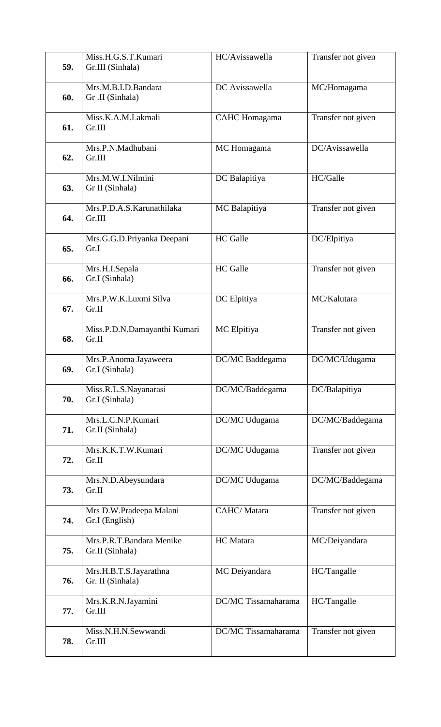| 59. | Miss.H.G.S.T.Kumari<br>Gr.III (Sinhala)                     | HC/Avissawella      | Transfer not given |
|-----|-------------------------------------------------------------|---------------------|--------------------|
| 60. | Mrs.M.B.I.D.Bandara<br>Gr .II (Sinhala)                     | DC Avissawella      | MC/Homagama        |
| 61. | Miss.K.A.M.Lakmali<br>Gr.III                                | CAHC Homagama       | Transfer not given |
| 62. | Mrs.P.N.Madhubani<br>Gr.III                                 | MC Homagama         | DC/Avissawella     |
| 63. | Mrs.M.W.I.Nilmini<br>Gr II (Sinhala)                        | DC Balapitiya       | HC/Galle           |
| 64. | Mrs.P.D.A.S.Karunathilaka<br>Gr.III                         | MC Balapitiya       | Transfer not given |
| 65. | Mrs.G.G.D.Priyanka Deepani<br>Gr.I                          | <b>HC</b> Galle     | DC/Elpitiya        |
| 66. | Mrs.H.I.Sepala<br>Gr.I (Sinhala)                            | <b>HC</b> Galle     | Transfer not given |
| 67. | Mrs.P.W.K.Luxmi Silva<br>Gr.II                              | DC Elpitiya         | MC/Kalutara        |
| 68. | Miss.P.D.N.Damayanthi Kumari<br>Gr.II                       | MC Elpitiya         | Transfer not given |
| 69. | Mrs.P.Anoma Jayaweera<br>Gr.I (Sinhala)                     | DC/MC Baddegama     | DC/MC/Udugama      |
| 70. | Miss.R.L.S.Nayanarasi<br>Gr.I (Sinhala)                     | DC/MC/Baddegama     | DC/Balapitiya      |
| 71. | $\overline{\text{Mrs. L.C.N. P. Kumar}}$<br>Gr.II (Sinhala) | DC/MC Udugama       | DC/MC/Baddegama    |
| 72. | Mrs.K.K.T.W.Kumari<br>Gr.II                                 | DC/MC Udugama       | Transfer not given |
| 73. | Mrs.N.D.Abeysundara<br>Gr.II                                | DC/MC Udugama       | DC/MC/Baddegama    |
| 74. | Mrs D.W.Pradeepa Malani<br>Gr.I (English)                   | CAHC/Matara         | Transfer not given |
| 75. | Mrs.P.R.T.Bandara Menike<br>Gr.II (Sinhala)                 | HC Matara           | MC/Deiyandara      |
| 76. | Mrs.H.B.T.S.Jayarathna<br>Gr. II (Sinhala)                  | MC Deiyandara       | HC/Tangalle        |
| 77. | Mrs.K.R.N.Jayamini<br>Gr.III                                | DC/MC Tissamaharama | HC/Tangalle        |
| 78. | Miss.N.H.N.Sewwandi<br>Gr.III                               | DC/MC Tissamaharama | Transfer not given |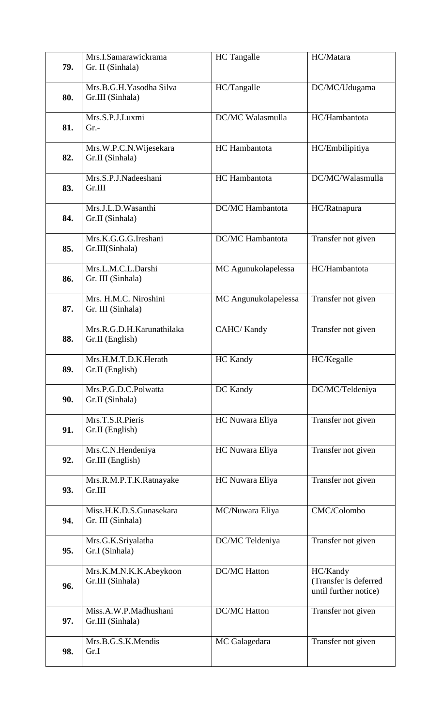| 79. | Mrs.I.Samarawickrama<br>Gr. II (Sinhala)     | <b>HC</b> Tangalle   | HC/Matara                                                  |
|-----|----------------------------------------------|----------------------|------------------------------------------------------------|
| 80. | Mrs.B.G.H. Yasodha Silva<br>Gr.III (Sinhala) | HC/Tangalle          | DC/MC/Udugama                                              |
| 81. | Mrs.S.P.J.Luxmi<br>$Gr. -$                   | DC/MC Walasmulla     | HC/Hambantota                                              |
| 82. | Mrs.W.P.C.N.Wijesekara<br>Gr.II (Sinhala)    | HC Hambantota        | HC/Embilipitiya                                            |
| 83. | Mrs.S.P.J.Nadeeshani<br>Gr.III               | HC Hambantota        | DC/MC/Walasmulla                                           |
| 84. | Mrs.J.L.D.Wasanthi<br>Gr.II (Sinhala)        | DC/MC Hambantota     | HC/Ratnapura                                               |
| 85. | Mrs.K.G.G.G.Ireshani<br>Gr.III(Sinhala)      | DC/MC Hambantota     | Transfer not given                                         |
| 86. | Mrs.L.M.C.L.Darshi<br>Gr. III (Sinhala)      | MC Agunukolapelessa  | HC/Hambantota                                              |
| 87. | Mrs. H.M.C. Niroshini<br>Gr. III (Sinhala)   | MC Angunukolapelessa | Transfer not given                                         |
| 88. | Mrs.R.G.D.H.Karunathilaka<br>Gr.II (English) | CAHC/Kandy           | Transfer not given                                         |
| 89. | Mrs.H.M.T.D.K.Herath<br>Gr.II (English)      | <b>HC</b> Kandy      | HC/Kegalle                                                 |
| 90. | Mrs.P.G.D.C.Polwatta<br>Gr.II (Sinhala)      | DC Kandy             | DC/MC/Teldeniya                                            |
| 91. | Mrs.T.S.R.Pieris<br>Gr.II (English)          | HC Nuwara Eliya      | Transfer not given                                         |
| 92. | Mrs.C.N.Hendeniya<br>Gr.III (English)        | HC Nuwara Eliya      | Transfer not given                                         |
| 93. | Mrs.R.M.P.T.K.Ratnayake<br>Gr.III            | HC Nuwara Eliya      | Transfer not given                                         |
| 94. | Miss.H.K.D.S.Gunasekara<br>Gr. III (Sinhala) | MC/Nuwara Eliya      | CMC/Colombo                                                |
| 95. | Mrs.G.K.Sriyalatha<br>Gr.I (Sinhala)         | DC/MC Teldeniya      | Transfer not given                                         |
| 96. | Mrs.K.M.N.K.K.Abeykoon<br>Gr.III (Sinhala)   | <b>DC/MC Hatton</b>  | HC/Kandy<br>(Transfer is deferred<br>until further notice) |
| 97. | Miss.A.W.P.Madhushani<br>Gr.III (Sinhala)    | <b>DC/MC Hatton</b>  | Transfer not given                                         |
| 98. | Mrs.B.G.S.K.Mendis<br>Gr.I                   | MC Galagedara        | Transfer not given                                         |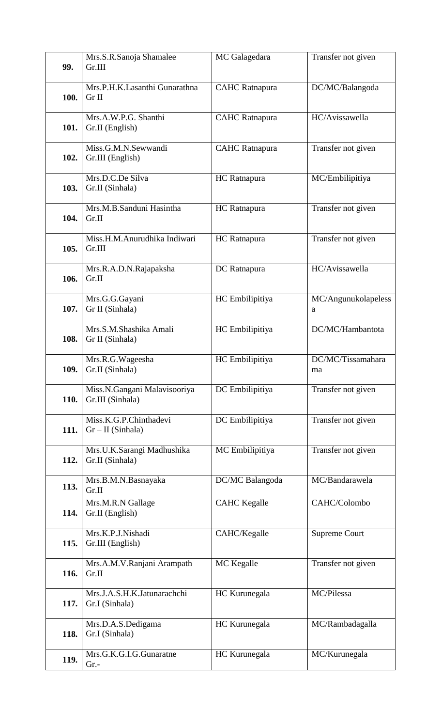| 99.  | Mrs.S.R.Sanoja Shamalee<br>Gr.III                | MC Galagedara         | Transfer not given       |
|------|--------------------------------------------------|-----------------------|--------------------------|
| 100. | Mrs.P.H.K.Lasanthi Gunarathna<br>Gr II           | <b>CAHC</b> Ratnapura | DC/MC/Balangoda          |
| 101. | Mrs.A.W.P.G. Shanthi<br>Gr.II (English)          | <b>CAHC</b> Ratnapura | HC/Avissawella           |
| 102. | Miss.G.M.N.Sewwandi<br>Gr.III (English)          | <b>CAHC</b> Ratnapura | Transfer not given       |
| 103. | Mrs.D.C.De Silva<br>Gr.II (Sinhala)              | HC Ratnapura          | MC/Embilipitiya          |
| 104. | Mrs.M.B.Sanduni Hasintha<br>Gr.II                | HC Ratnapura          | Transfer not given       |
| 105. | Miss.H.M.Anurudhika Indiwari<br>Gr.III           | HC Ratnapura          | Transfer not given       |
| 106. | Mrs.R.A.D.N.Rajapaksha<br>Gr.II                  | DC Ratnapura          | HC/Avissawella           |
| 107. | Mrs.G.G.Gayani<br>Gr II (Sinhala)                | HC Embilipitiya       | MC/Angunukolapeless<br>a |
| 108. | Mrs.S.M.Shashika Amali<br>Gr II (Sinhala)        | HC Embilipitiya       | DC/MC/Hambantota         |
| 109. | Mrs.R.G.Wageesha<br>Gr.II (Sinhala)              | HC Embilipitiya       | DC/MC/Tissamahara<br>ma  |
| 110. | Miss.N.Gangani Malavisooriya<br>Gr.III (Sinhala) | DC Embilipitiya       | Transfer not given       |
| 111. | Miss.K.G.P.Chinthadevi<br>$Gr-II(Sinhala)$       | DC Embilipitiya       | Transfer not given       |
| 112. | Mrs.U.K.Sarangi Madhushika<br>Gr.II (Sinhala)    | MC Embilipitiya       | Transfer not given       |
| 113. | Mrs.B.M.N.Basnayaka<br>Gr.II                     | DC/MC Balangoda       | MC/Bandarawela           |
| 114. | Mrs.M.R.N Gallage<br>Gr.II (English)             | <b>CAHC</b> Kegalle   | CAHC/Colombo             |
| 115. | Mrs.K.P.J.Nishadi<br>Gr.III (English)            | CAHC/Kegalle          | Supreme Court            |
| 116. | Mrs.A.M.V.Ranjani Arampath<br>Gr.II              | MC Kegalle            | Transfer not given       |
| 117. | Mrs.J.A.S.H.K.Jatunarachchi<br>Gr.I (Sinhala)    | HC Kurunegala         | MC/Pilessa               |
| 118. | Mrs.D.A.S.Dedigama<br>Gr.I (Sinhala)             | HC Kurunegala         | MC/Rambadagalla          |
| 119. | Mrs.G.K.G.I.G.Gunaratne<br>$Gr.$ -               | HC Kurunegala         | MC/Kurunegala            |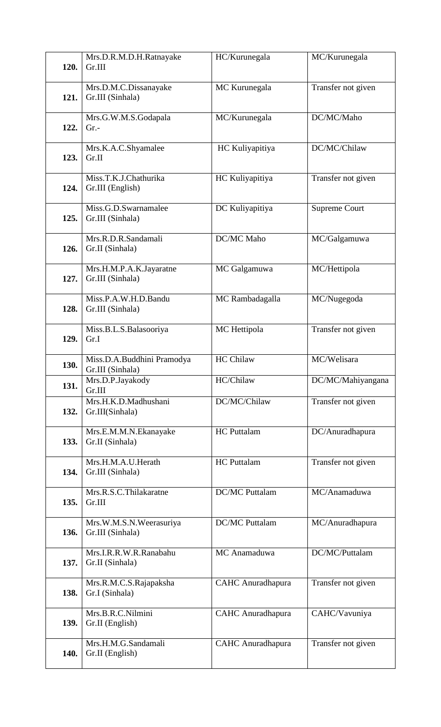| 120. | Mrs.D.R.M.D.H.Ratnayake<br>Gr.III              | HC/Kurunegala            | MC/Kurunegala        |
|------|------------------------------------------------|--------------------------|----------------------|
| 121. | Mrs.D.M.C.Dissanayake<br>Gr.III (Sinhala)      | MC Kurunegala            | Transfer not given   |
| 122. | Mrs.G.W.M.S.Godapala<br>$Gr. -$                | MC/Kurunegala            | DC/MC/Maho           |
| 123. | Mrs.K.A.C.Shyamalee<br>Gr.II                   | HC Kuliyapitiya          | DC/MC/Chilaw         |
| 124. | Miss.T.K.J.Chathurika<br>Gr.III (English)      | HC Kuliyapitiya          | Transfer not given   |
| 125. | Miss.G.D.Swarnamalee<br>Gr.III (Sinhala)       | DC Kuliyapitiya          | <b>Supreme Court</b> |
| 126. | Mrs.R.D.R.Sandamali<br>Gr.II (Sinhala)         | DC/MC Maho               | MC/Galgamuwa         |
| 127. | Mrs.H.M.P.A.K.Jayaratne<br>Gr.III (Sinhala)    | MC Galgamuwa             | MC/Hettipola         |
| 128. | Miss.P.A.W.H.D.Bandu<br>Gr.III (Sinhala)       | MC Rambadagalla          | MC/Nugegoda          |
| 129. | Miss.B.L.S.Balasooriya<br>Gr.I                 | MC Hettipola             | Transfer not given   |
| 130. | Miss.D.A.Buddhini Pramodya<br>Gr.III (Sinhala) | <b>HC Chilaw</b>         | MC/Welisara          |
| 131. | Mrs.D.P.Jayakody<br>Gr.III                     | HC/Chilaw                | DC/MC/Mahiyangana    |
| 132. | Mrs.H.K.D.Madhushani<br>Gr.III(Sinhala)        | DC/MC/Chilaw             | Transfer not given   |
| 133. | Mrs.E.M.M.N.Ekanayake<br>Gr.II (Sinhala)       | <b>HC</b> Puttalam       | DC/Anuradhapura      |
| 134. | Mrs.H.M.A.U.Herath<br>Gr.III (Sinhala)         | <b>HC</b> Puttalam       | Transfer not given   |
| 135. | Mrs.R.S.C.Thilakaratne<br>Gr.III               | <b>DC/MC Puttalam</b>    | MC/Anamaduwa         |
| 136. | Mrs.W.M.S.N.Weerasuriya<br>Gr.III (Sinhala)    | <b>DC/MC Puttalam</b>    | MC/Anuradhapura      |
| 137. | Mrs.I.R.R.W.R.Ranabahu<br>Gr.II (Sinhala)      | MC Anamaduwa             | DC/MC/Puttalam       |
| 138. | Mrs.R.M.C.S.Rajapaksha<br>Gr.I (Sinhala)       | <b>CAHC</b> Anuradhapura | Transfer not given   |
| 139. | Mrs.B.R.C.Nilmini<br>Gr.II (English)           | <b>CAHC</b> Anuradhapura | CAHC/Vavuniya        |
| 140. | Mrs.H.M.G.Sandamali<br>Gr.II (English)         | <b>CAHC</b> Anuradhapura | Transfer not given   |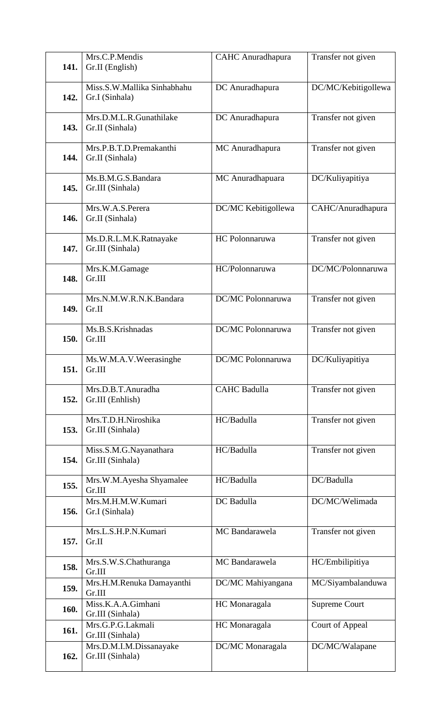| 141.        | Mrs.C.P.Mendis<br>Gr.II (English)             | <b>CAHC</b> Anuradhapura | Transfer not given   |
|-------------|-----------------------------------------------|--------------------------|----------------------|
| 142.        | Miss.S.W.Mallika Sinhabhahu<br>Gr.I (Sinhala) | DC Anuradhapura          | DC/MC/Kebitigollewa  |
| 143.        | Mrs.D.M.L.R.Gunathilake<br>Gr.II (Sinhala)    | DC Anuradhapura          | Transfer not given   |
| 144.        | Mrs.P.B.T.D.Premakanthi<br>Gr.II (Sinhala)    | MC Anuradhapura          | Transfer not given   |
| 145.        | Ms.B.M.G.S.Bandara<br>Gr.III (Sinhala)        | MC Anuradhapuara         | DC/Kuliyapitiya      |
| 146.        | Mrs.W.A.S.Perera<br>Gr.II (Sinhala)           | DC/MC Kebitigollewa      | CAHC/Anuradhapura    |
| 147.        | Ms.D.R.L.M.K.Ratnayake<br>Gr.III (Sinhala)    | HC Polonnaruwa           | Transfer not given   |
| 148.        | Mrs.K.M.Gamage<br>Gr.III                      | HC/Polonnaruwa           | DC/MC/Polonnaruwa    |
| 149.        | Mrs.N.M.W.R.N.K.Bandara<br>Gr.II              | DC/MC Polonnaruwa        | Transfer not given   |
| 150.        | Ms.B.S.Krishnadas<br>Gr.III                   | DC/MC Polonnaruwa        | Transfer not given   |
| 151.        | Ms.W.M.A.V.Weerasinghe<br>Gr.III              | DC/MC Polonnaruwa        | DC/Kuliyapitiya      |
| 152.        | Mrs.D.B.T.Anuradha<br>Gr.III (Enhlish)        | <b>CAHC Badulla</b>      | Transfer not given   |
| 153.        | Mrs.T.D.H.Niroshika<br>Gr.III (Sinhala)       | HC/Badulla               | Transfer not given   |
| 154.        | Miss.S.M.G.Nayanathara<br>Gr.III (Sinhala)    | HC/Badulla               | Transfer not given   |
| 155.        | Mrs.W.M.Ayesha Shyamalee<br>Gr.III            | HC/Badulla               | DC/Badulla           |
| 156.        | Mrs.M.H.M.W.Kumari<br>Gr.I (Sinhala)          | DC Badulla               | DC/MC/Welimada       |
| 157.        | Mrs.L.S.H.P.N.Kumari<br>Gr.II                 | MC Bandarawela           | Transfer not given   |
| 158.        | Mrs.S.W.S.Chathuranga<br>Gr.III               | MC Bandarawela           | HC/Embilipitiya      |
| 159.        | Mrs.H.M.Renuka Damayanthi<br>Gr.III           | DC/MC Mahiyangana        | MC/Siyambalanduwa    |
| 160.        | Miss.K.A.A.Gimhani<br>Gr.III (Sinhala)        | HC Monaragala            | <b>Supreme Court</b> |
| <b>161.</b> | Mrs.G.P.G.Lakmali<br>Gr.III (Sinhala)         | HC Monaragala            | Court of Appeal      |
| 162.        | Mrs.D.M.I.M.Dissanayake<br>Gr.III (Sinhala)   | DC/MC Monaragala         | DC/MC/Walapane       |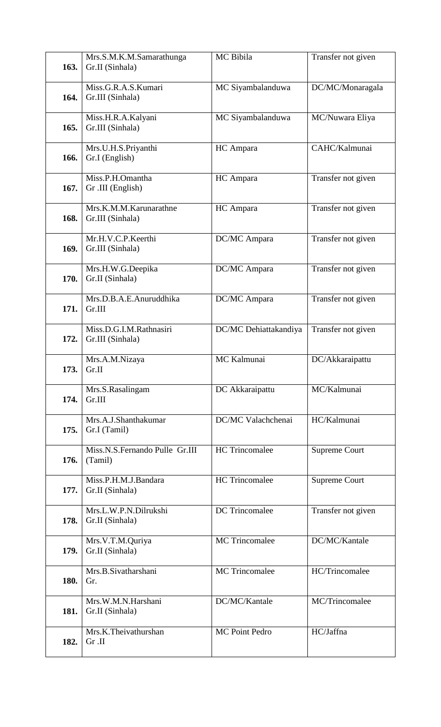| 163. | Mrs.S.M.K.M.Samarathunga<br>Gr.II (Sinhala) | MC Bibila             | Transfer not given   |
|------|---------------------------------------------|-----------------------|----------------------|
| 164. | Miss.G.R.A.S.Kumari<br>Gr.III (Sinhala)     | MC Siyambalanduwa     | DC/MC/Monaragala     |
| 165. | Miss.H.R.A.Kalyani<br>Gr.III (Sinhala)      | MC Siyambalanduwa     | MC/Nuwara Eliya      |
| 166. | Mrs.U.H.S.Priyanthi<br>Gr.I (English)       | HC Ampara             | CAHC/Kalmunai        |
| 167. | Miss.P.H.Omantha<br>Gr .III (English)       | HC Ampara             | Transfer not given   |
| 168. | Mrs.K.M.M.Karunarathne<br>Gr.III (Sinhala)  | HC Ampara             | Transfer not given   |
| 169. | Mr.H.V.C.P.Keerthi<br>Gr.III (Sinhala)      | DC/MC Ampara          | Transfer not given   |
| 170. | Mrs.H.W.G.Deepika<br>Gr.II (Sinhala)        | DC/MC Ampara          | Transfer not given   |
| 171. | Mrs.D.B.A.E.Anuruddhika<br>Gr.III           | DC/MC Ampara          | Transfer not given   |
| 172. | Miss.D.G.I.M.Rathnasiri<br>Gr.III (Sinhala) | DC/MC Dehiattakandiya | Transfer not given   |
| 173. | Mrs.A.M.Nizaya<br>Gr.II                     | MC Kalmunai           | DC/Akkaraipattu      |
| 174. | Mrs.S.Rasalingam<br>Gr.III                  | DC Akkaraipattu       | MC/Kalmunai          |
| 175. | Mrs.A.J.Shanthakumar<br>Gr.I (Tamil)        | DC/MC Valachchenai    | HC/Kalmunai          |
| 176. | Miss.N.S.Fernando Pulle Gr.III<br>(Tamil)   | <b>HC</b> Trincomalee | <b>Supreme Court</b> |
| 177. | Miss.P.H.M.J.Bandara<br>Gr.II (Sinhala)     | <b>HC</b> Trincomalee | <b>Supreme Court</b> |
| 178. | Mrs.L.W.P.N.Dilrukshi<br>Gr.II (Sinhala)    | <b>DC</b> Trincomalee | Transfer not given   |
| 179. | Mrs.V.T.M.Quriya<br>Gr.II (Sinhala)         | <b>MC</b> Trincomalee | DC/MC/Kantale        |
| 180. | Mrs.B.Sivatharshani<br>Gr.                  | <b>MC</b> Trincomalee | HC/Trincomalee       |
| 181. | Mrs.W.M.N.Harshani<br>Gr.II (Sinhala)       | DC/MC/Kantale         | MC/Trincomalee       |
| 182. | Mrs.K.Theivathurshan                        | <b>MC Point Pedro</b> | HC/Jaffna            |